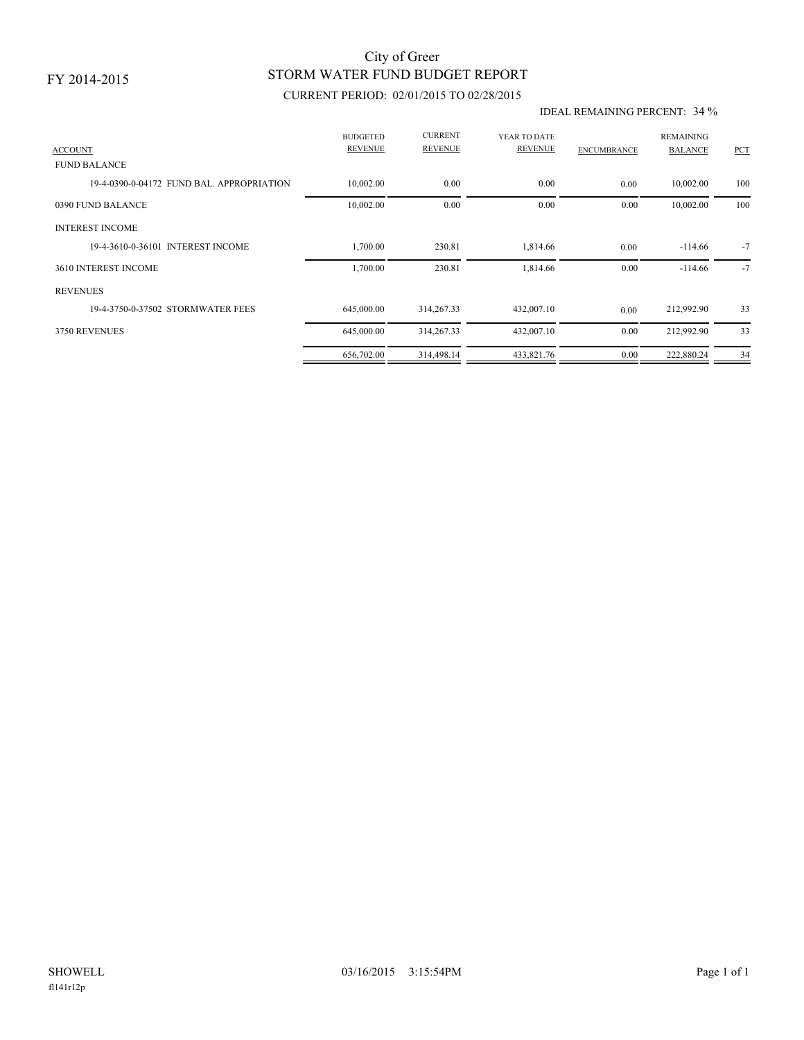### FY 2014-2015

## STORM WATER FUND BUDGET REPORT City of Greer

### CURRENT PERIOD: 02/01/2015 TO 02/28/2015

#### IDEAL REMAINING PERCENT: 34 %

| <b>ACCOUNT</b>                            | <b>BUDGETED</b><br><b>REVENUE</b> | <b>CURRENT</b><br><b>REVENUE</b> | YEAR TO DATE<br><b>REVENUE</b> | <b>ENCUMBRANCE</b> | <b>REMAINING</b><br><b>BALANCE</b> | PCT  |
|-------------------------------------------|-----------------------------------|----------------------------------|--------------------------------|--------------------|------------------------------------|------|
| <b>FUND BALANCE</b>                       |                                   |                                  |                                |                    |                                    |      |
| 19-4-0390-0-04172 FUND BAL, APPROPRIATION | 10,002.00                         | 0.00                             | 0.00                           | 0.00               | 10,002.00                          | 100  |
| 0390 FUND BALANCE                         | 10,002.00                         | 0.00                             | 0.00                           | 0.00               | 10,002.00                          | 100  |
| <b>INTEREST INCOME</b>                    |                                   |                                  |                                |                    |                                    |      |
| 19-4-3610-0-36101 INTEREST INCOME         | 1,700.00                          | 230.81                           | 1,814.66                       | 0.00               | $-114.66$                          | $-7$ |
| 3610 INTEREST INCOME                      | 1,700.00                          | 230.81                           | 1,814.66                       | 0.00               | $-114.66$                          | $-7$ |
| <b>REVENUES</b>                           |                                   |                                  |                                |                    |                                    |      |
| 19-4-3750-0-37502 STORMWATER FEES         | 645,000.00                        | 314,267.33                       | 432,007.10                     | 0.00               | 212,992.90                         | 33   |
| 3750 REVENUES                             | 645,000.00                        | 314,267.33                       | 432,007.10                     | 0.00               | 212,992.90                         | 33   |
|                                           | 656,702.00                        | 314,498.14                       | 433,821.76                     | 0.00               | 222,880.24                         | 34   |